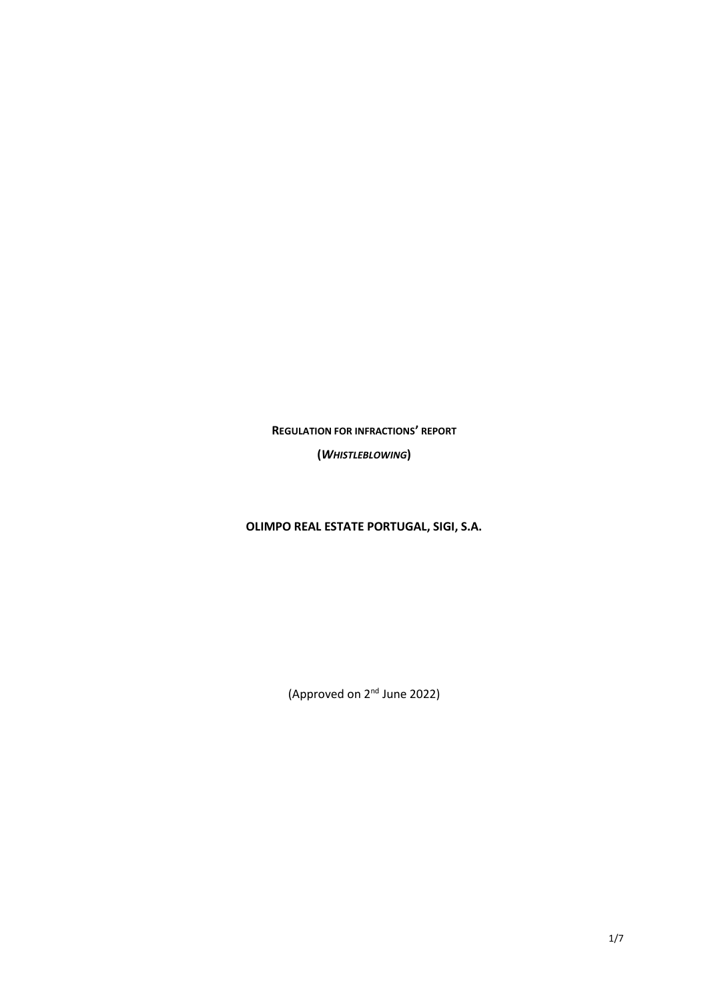**REGULATION FOR INFRACTIONS' REPORT**

**(***WHISTLEBLOWING***)**

**OLIMPO REAL ESTATE PORTUGAL, SIGI, S.A.**

(Approved on 2nd June 2022)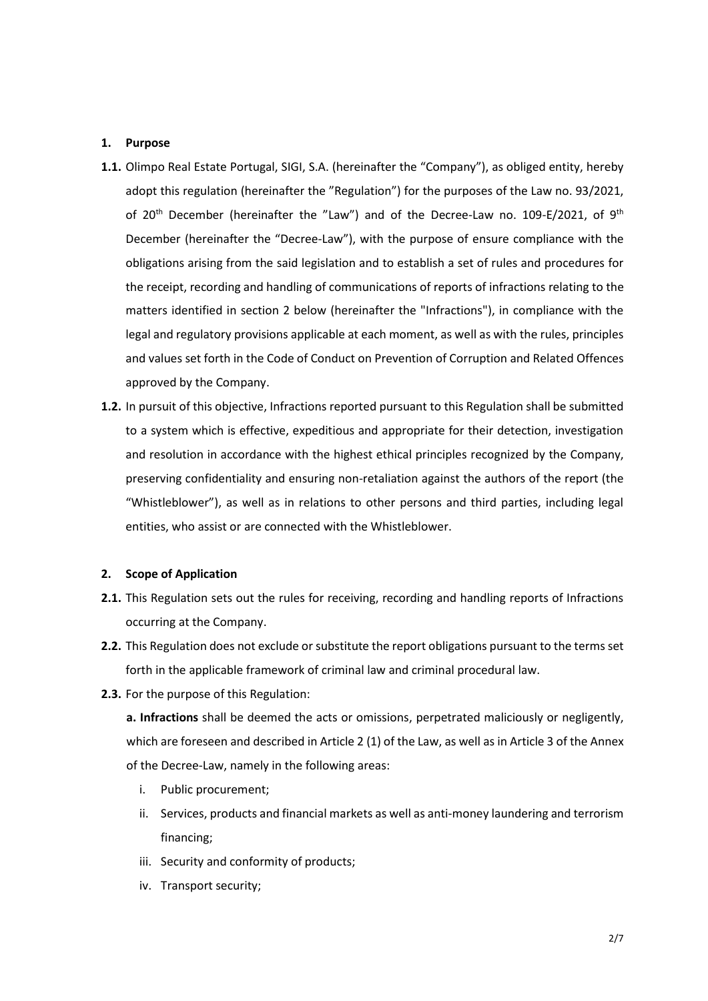# **1. Purpose**

- **1.1.** Olimpo Real Estate Portugal, SIGI, S.A. (hereinafter the "Company"), as obliged entity, hereby adopt this regulation (hereinafter the "Regulation") for the purposes of the Law no. 93/2021, of 20<sup>th</sup> December (hereinafter the "Law") and of the Decree-Law no. 109-E/2021, of 9<sup>th</sup> December (hereinafter the "Decree-Law"), with the purpose of ensure compliance with the obligations arising from the said legislation and to establish a set of rules and procedures for the receipt, recording and handling of communications of reports of infractions relating to the matters identified in section 2 below (hereinafter the "Infractions"), in compliance with the legal and regulatory provisions applicable at each moment, as well as with the rules, principles and values set forth in the Code of Conduct on Prevention of Corruption and Related Offences approved by the Company.
- **1.2.** In pursuit of this objective, Infractions reported pursuant to this Regulation shall be submitted to a system which is effective, expeditious and appropriate for their detection, investigation and resolution in accordance with the highest ethical principles recognized by the Company, preserving confidentiality and ensuring non-retaliation against the authors of the report (the "Whistleblower"), as well as in relations to other persons and third parties, including legal entities, who assist or are connected with the Whistleblower.

# **2. Scope of Application**

- **2.1.** This Regulation sets out the rules for receiving, recording and handling reports of Infractions occurring at the Company.
- **2.2.** This Regulation does not exclude or substitute the report obligations pursuant to the terms set forth in the applicable framework of criminal law and criminal procedural law.
- **2.3.** For the purpose of this Regulation:

**a. Infractions** shall be deemed the acts or omissions, perpetrated maliciously or negligently, which are foreseen and described in Article 2 (1) of the Law, as well as in Article 3 of the Annex of the Decree-Law, namely in the following areas:

- i. Public procurement;
- ii. Services, products and financial markets as well as anti-money laundering and terrorism financing;
- iii. Security and conformity of products;
- iv. Transport security;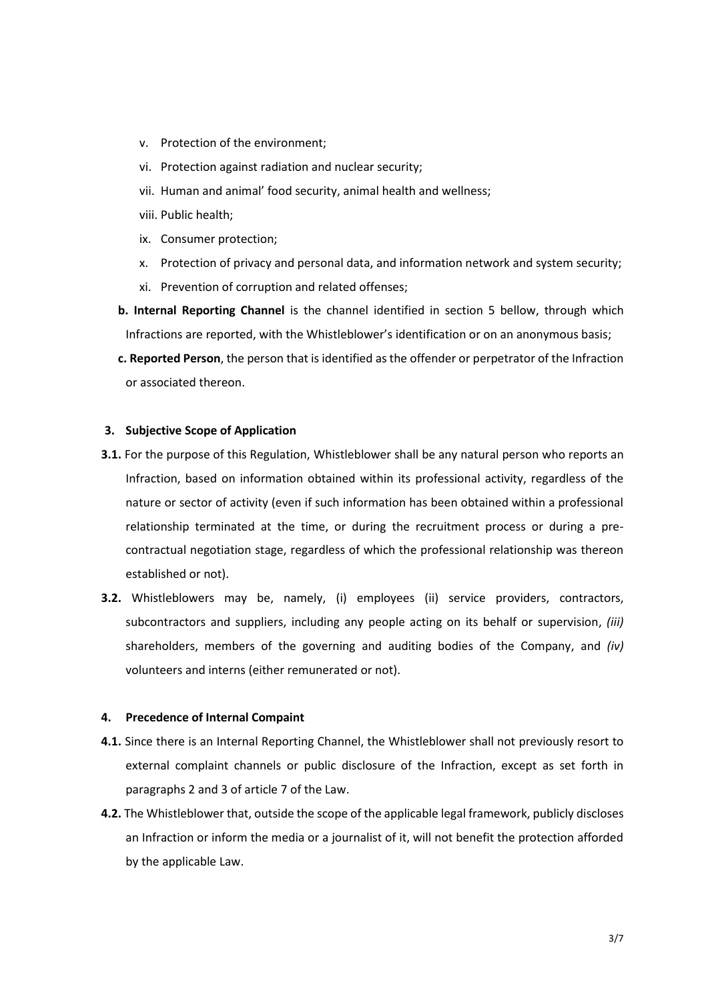- v. Protection of the environment;
- vi. Protection against radiation and nuclear security;
- vii. Human and animal' food security, animal health and wellness;
- viii. Public health;
- ix. Consumer protection;
- x. Protection of privacy and personal data, and information network and system security;
- xi. Prevention of corruption and related offenses;
- **b. Internal Reporting Channel** is the channel identified in section 5 bellow, through which Infractions are reported, with the Whistleblower's identification or on an anonymous basis;
- **c. Reported Person**, the person that is identified as the offender or perpetrator of the Infraction or associated thereon.

# **3. Subjective Scope of Application**

- **3.1.** For the purpose of this Regulation, Whistleblower shall be any natural person who reports an Infraction, based on information obtained within its professional activity, regardless of the nature or sector of activity (even if such information has been obtained within a professional relationship terminated at the time, or during the recruitment process or during a precontractual negotiation stage, regardless of which the professional relationship was thereon established or not).
- **3.2.** Whistleblowers may be, namely, (i) employees (ii) service providers, contractors, subcontractors and suppliers, including any people acting on its behalf or supervision, *(iii)* shareholders, members of the governing and auditing bodies of the Company, and *(iv)* volunteers and interns (either remunerated or not).

## **4. Precedence of Internal Compaint**

- **4.1.** Since there is an Internal Reporting Channel, the Whistleblower shall not previously resort to external complaint channels or public disclosure of the Infraction, except as set forth in paragraphs 2 and 3 of article 7 of the Law.
- **4.2.** The Whistleblower that, outside the scope of the applicable legal framework, publicly discloses an Infraction or inform the media or a journalist of it, will not benefit the protection afforded by the applicable Law.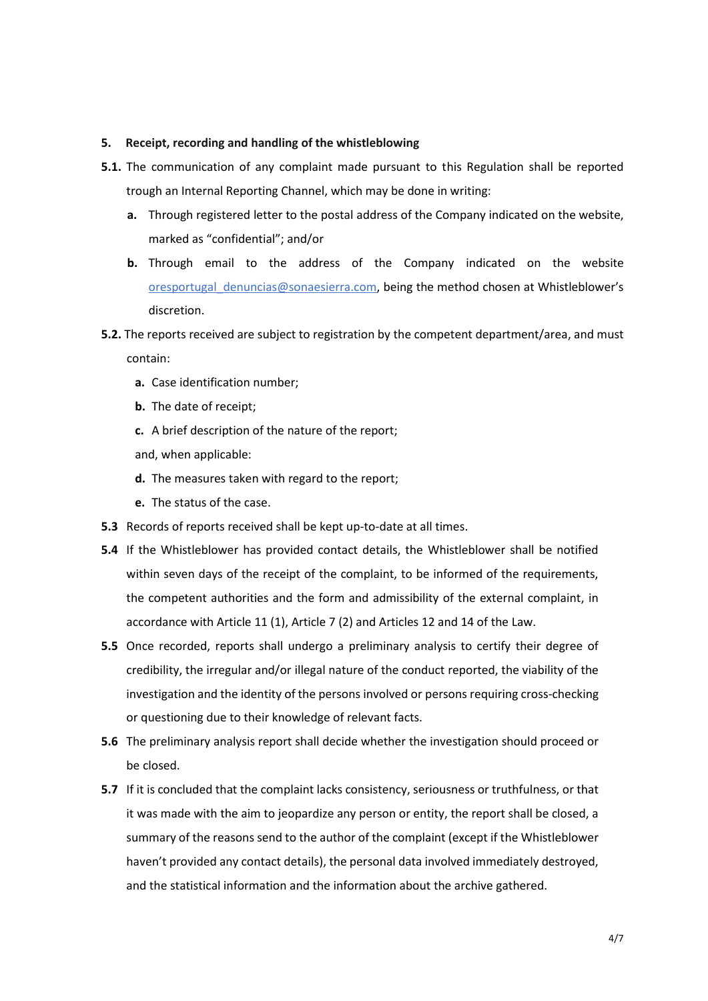# **5. Receipt, recording and handling of the whistleblowing**

- **5.1.** The communication of any complaint made pursuant to this Regulation shall be reported trough an Internal Reporting Channel, which may be done in writing:
	- **a.** Through registered letter to the postal address of the Company indicated on the website, marked as "confidential"; and/or
	- **b.** Through email to the address of the Company indicated on the website oresportugal denuncias@sonaesierra.com, being the method chosen at Whistleblower's discretion.
- **5.2.** The reports received are subject to registration by the competent department/area, and must contain:
	- **a.** Case identification number;
	- **b.** The date of receipt;
	- **c.** A brief description of the nature of the report;
	- and, when applicable:
	- **d.** The measures taken with regard to the report;
	- **e.** The status of the case.
- **5.3** Records of reports received shall be kept up-to-date at all times.
- **5.4** If the Whistleblower has provided contact details, the Whistleblower shall be notified within seven days of the receipt of the complaint, to be informed of the requirements, the competent authorities and the form and admissibility of the external complaint, in accordance with Article 11 (1), Article 7 (2) and Articles 12 and 14 of the Law.
- **5.5** Once recorded, reports shall undergo a preliminary analysis to certify their degree of credibility, the irregular and/or illegal nature of the conduct reported, the viability of the investigation and the identity of the persons involved or persons requiring cross-checking or questioning due to their knowledge of relevant facts.
- **5.6** The preliminary analysis report shall decide whether the investigation should proceed or be closed.
- **5.7** If it is concluded that the complaint lacks consistency, seriousness or truthfulness, or that it was made with the aim to jeopardize any person or entity, the report shall be closed, a summary of the reasons send to the author of the complaint (except if the Whistleblower haven't provided any contact details), the personal data involved immediately destroyed, and the statistical information and the information about the archive gathered.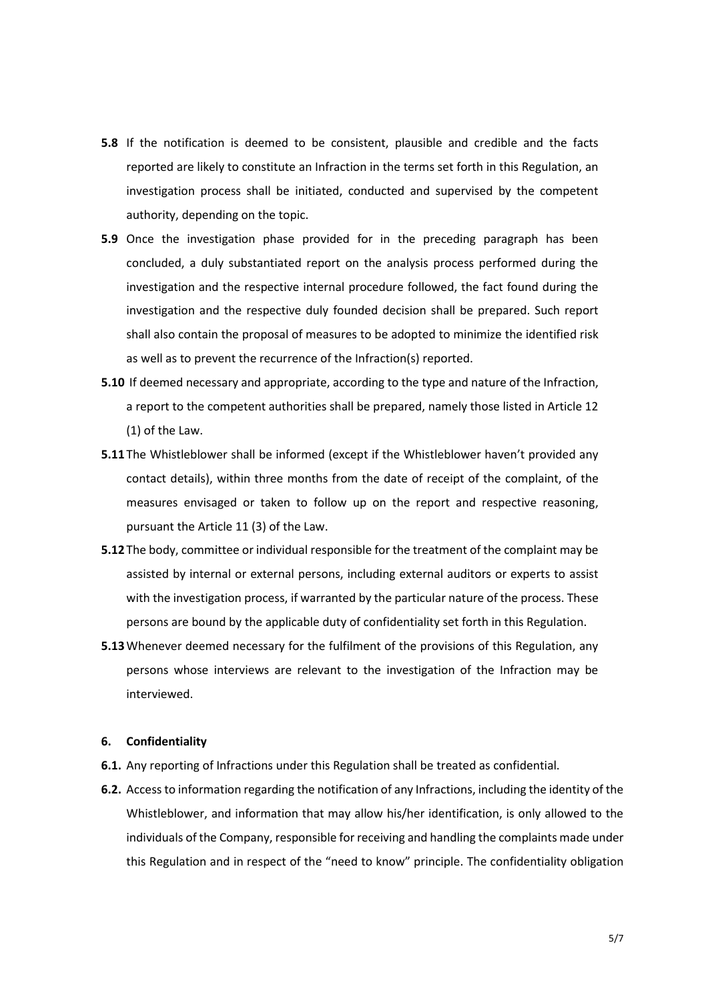- **5.8** If the notification is deemed to be consistent, plausible and credible and the facts reported are likely to constitute an Infraction in the terms set forth in this Regulation, an investigation process shall be initiated, conducted and supervised by the competent authority, depending on the topic.
- **5.9** Once the investigation phase provided for in the preceding paragraph has been concluded, a duly substantiated report on the analysis process performed during the investigation and the respective internal procedure followed, the fact found during the investigation and the respective duly founded decision shall be prepared. Such report shall also contain the proposal of measures to be adopted to minimize the identified risk as well as to prevent the recurrence of the Infraction(s) reported.
- **5.10** If deemed necessary and appropriate, according to the type and nature of the Infraction, a report to the competent authorities shall be prepared, namely those listed in Article 12 (1) of the Law.
- **5.11** The Whistleblower shall be informed (except if the Whistleblower haven't provided any contact details), within three months from the date of receipt of the complaint, of the measures envisaged or taken to follow up on the report and respective reasoning, pursuant the Article 11 (3) of the Law.
- **5.12** The body, committee or individual responsible for the treatment of the complaint may be assisted by internal or external persons, including external auditors or experts to assist with the investigation process, if warranted by the particular nature of the process. These persons are bound by the applicable duty of confidentiality set forth in this Regulation.
- **5.13**Whenever deemed necessary for the fulfilment of the provisions of this Regulation, any persons whose interviews are relevant to the investigation of the Infraction may be interviewed.

#### **6. Confidentiality**

- **6.1.** Any reporting of Infractions under this Regulation shall be treated as confidential.
- **6.2.** Access to information regarding the notification of any Infractions, including the identity of the Whistleblower, and information that may allow his/her identification, is only allowed to the individuals of the Company, responsible for receiving and handling the complaints made under this Regulation and in respect of the "need to know" principle. The confidentiality obligation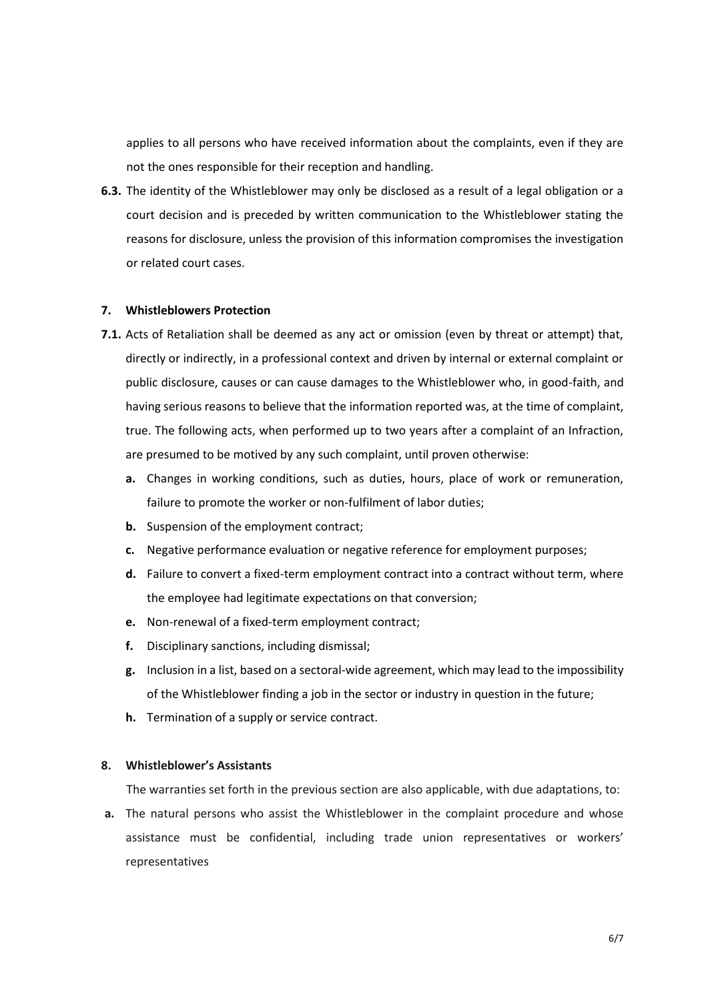applies to all persons who have received information about the complaints, even if they are not the ones responsible for their reception and handling.

**6.3.** The identity of the Whistleblower may only be disclosed as a result of a legal obligation or a court decision and is preceded by written communication to the Whistleblower stating the reasons for disclosure, unless the provision of this information compromises the investigation or related court cases.

#### **7. Whistleblowers Protection**

- **7.1.** Acts of Retaliation shall be deemed as any act or omission (even by threat or attempt) that, directly or indirectly, in a professional context and driven by internal or external complaint or public disclosure, causes or can cause damages to the Whistleblower who, in good-faith, and having serious reasons to believe that the information reported was, at the time of complaint, true. The following acts, when performed up to two years after a complaint of an Infraction, are presumed to be motived by any such complaint, until proven otherwise:
	- **a.** Changes in working conditions, such as duties, hours, place of work or remuneration, failure to promote the worker or non-fulfilment of labor duties:
	- **b.** Suspension of the employment contract;
	- **c.** Negative performance evaluation or negative reference for employment purposes;
	- **d.** Failure to convert a fixed-term employment contract into a contract without term, where the employee had legitimate expectations on that conversion;
	- **e.** Non-renewal of a fixed-term employment contract;
	- **f.** Disciplinary sanctions, including dismissal;
	- **g.** Inclusion in a list, based on a sectoral-wide agreement, which may lead to the impossibility of the Whistleblower finding a job in the sector or industry in question in the future;
	- **h.** Termination of a supply or service contract.

# **8. Whistleblower's Assistants**

The warranties set forth in the previous section are also applicable, with due adaptations, to:

**a.** The natural persons who assist the Whistleblower in the complaint procedure and whose assistance must be confidential, including trade union representatives or workers' representatives